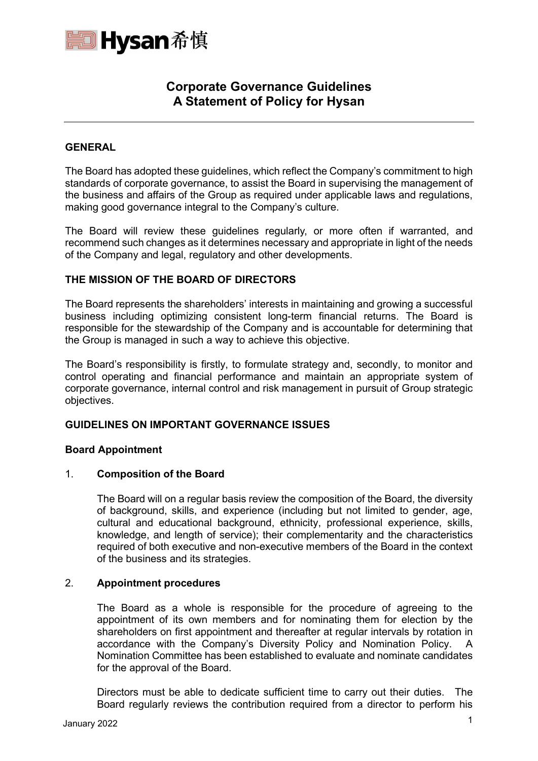

# **Corporate Governance Guidelines A Statement of Policy for Hysan**

# **GENERAL**

The Board has adopted these guidelines, which reflect the Company's commitment to high standards of corporate governance, to assist the Board in supervising the management of the business and affairs of the Group as required under applicable laws and regulations, making good governance integral to the Company's culture.

The Board will review these guidelines regularly, or more often if warranted, and recommend such changes as it determines necessary and appropriate in light of the needs of the Company and legal, regulatory and other developments.

# **THE MISSION OF THE BOARD OF DIRECTORS**

The Board represents the shareholders' interests in maintaining and growing a successful business including optimizing consistent long-term financial returns. The Board is responsible for the stewardship of the Company and is accountable for determining that the Group is managed in such a way to achieve this objective.

The Board's responsibility is firstly, to formulate strategy and, secondly, to monitor and control operating and financial performance and maintain an appropriate system of corporate governance, internal control and risk management in pursuit of Group strategic objectives.

# **GUIDELINES ON IMPORTANT GOVERNANCE ISSUES**

# **Board Appointment**

# 1. **Composition of the Board**

The Board will on a regular basis review the composition of the Board, the diversity of background, skills, and experience (including but not limited to gender, age, cultural and educational background, ethnicity, professional experience, skills, knowledge, and length of service); their complementarity and the characteristics required of both executive and non-executive members of the Board in the context of the business and its strategies.

# 2. **Appointment procedures**

The Board as a whole is responsible for the procedure of agreeing to the appointment of its own members and for nominating them for election by the shareholders on first appointment and thereafter at regular intervals by rotation in accordance with the Company's Diversity Policy and Nomination Policy. A Nomination Committee has been established to evaluate and nominate candidates for the approval of the Board.

Directors must be able to dedicate sufficient time to carry out their duties. The Board regularly reviews the contribution required from a director to perform his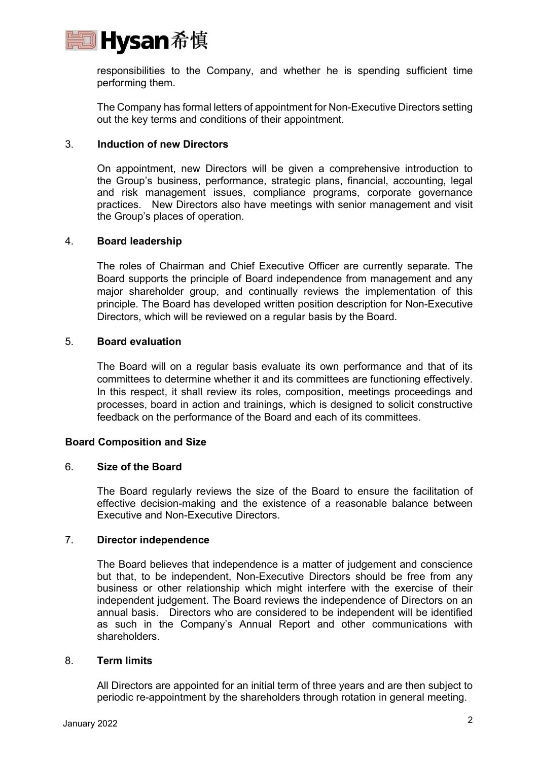

responsibilities to the Company, and whether he is spending sufficient time performing them.

The Company has formal letters of appointment for Non-Executive Directors setting out the key terms and conditions of their appointment.

# 3. **Induction of new Directors**

On appointment, new Directors will be given a comprehensive introduction to the Group's business, performance, strategic plans, financial, accounting, legal and risk management issues, compliance programs, corporate governance practices. New Directors also have meetings with senior management and visit the Group's places of operation.

# 4. **Board leadership**

The roles of Chairman and Chief Executive Officer are currently separate. The Board supports the principle of Board independence from management and any major shareholder group, and continually reviews the implementation of this principle. The Board has developed written position description for Non-Executive Directors, which will be reviewed on a regular basis by the Board.

# 5. **Board evaluation**

The Board will on a regular basis evaluate its own performance and that of its committees to determine whether it and its committees are functioning effectively. In this respect, it shall review its roles, composition, meetings proceedings and processes, board in action and trainings, which is designed to solicit constructive feedback on the performance of the Board and each of its committees.

# **Board Composition and Size**

# 6. **Size of the Board**

The Board regularly reviews the size of the Board to ensure the facilitation of effective decision-making and the existence of a reasonable balance between Executive and Non-Executive Directors.

# 7. **Director independence**

The Board believes that independence is a matter of judgement and conscience but that, to be independent, Non-Executive Directors should be free from any business or other relationship which might interfere with the exercise of their independent judgement. The Board reviews the independence of Directors on an annual basis. Directors who are considered to be independent will be identified as such in the Company's Annual Report and other communications with shareholders.

# 8. **Term limits**

All Directors are appointed for an initial term of three years and are then subject to periodic re-appointment by the shareholders through rotation in general meeting.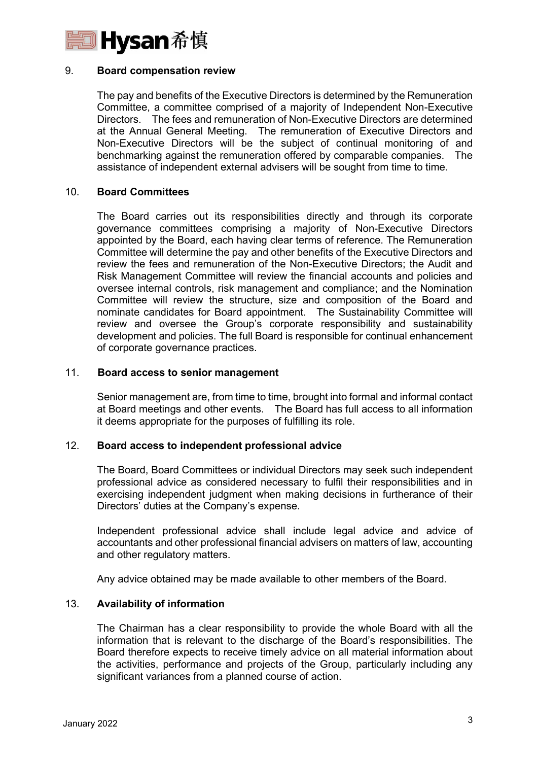

#### 9. **Board compensation review**

The pay and benefits of the Executive Directors is determined by the Remuneration Committee, a committee comprised of a majority of Independent Non-Executive Directors. The fees and remuneration of Non-Executive Directors are determined at the Annual General Meeting. The remuneration of Executive Directors and Non-Executive Directors will be the subject of continual monitoring of and benchmarking against the remuneration offered by comparable companies. The assistance of independent external advisers will be sought from time to time.

#### 10. **Board Committees**

The Board carries out its responsibilities directly and through its corporate governance committees comprising a majority of Non-Executive Directors appointed by the Board, each having clear terms of reference. The Remuneration Committee will determine the pay and other benefits of the Executive Directors and review the fees and remuneration of the Non-Executive Directors; the Audit and Risk Management Committee will review the financial accounts and policies and oversee internal controls, risk management and compliance; and the Nomination Committee will review the structure, size and composition of the Board and nominate candidates for Board appointment. The Sustainability Committee will review and oversee the Group's corporate responsibility and sustainability development and policies. The full Board is responsible for continual enhancement of corporate governance practices.

#### 11. **Board access to senior management**

Senior management are, from time to time, brought into formal and informal contact at Board meetings and other events. The Board has full access to all information it deems appropriate for the purposes of fulfilling its role.

#### 12. **Board access to independent professional advice**

The Board, Board Committees or individual Directors may seek such independent professional advice as considered necessary to fulfil their responsibilities and in exercising independent judgment when making decisions in furtherance of their Directors' duties at the Company's expense.

Independent professional advice shall include legal advice and advice of accountants and other professional financial advisers on matters of law, accounting and other regulatory matters.

Any advice obtained may be made available to other members of the Board.

# 13. **Availability of information**

The Chairman has a clear responsibility to provide the whole Board with all the information that is relevant to the discharge of the Board's responsibilities. The Board therefore expects to receive timely advice on all material information about the activities, performance and projects of the Group, particularly including any significant variances from a planned course of action.